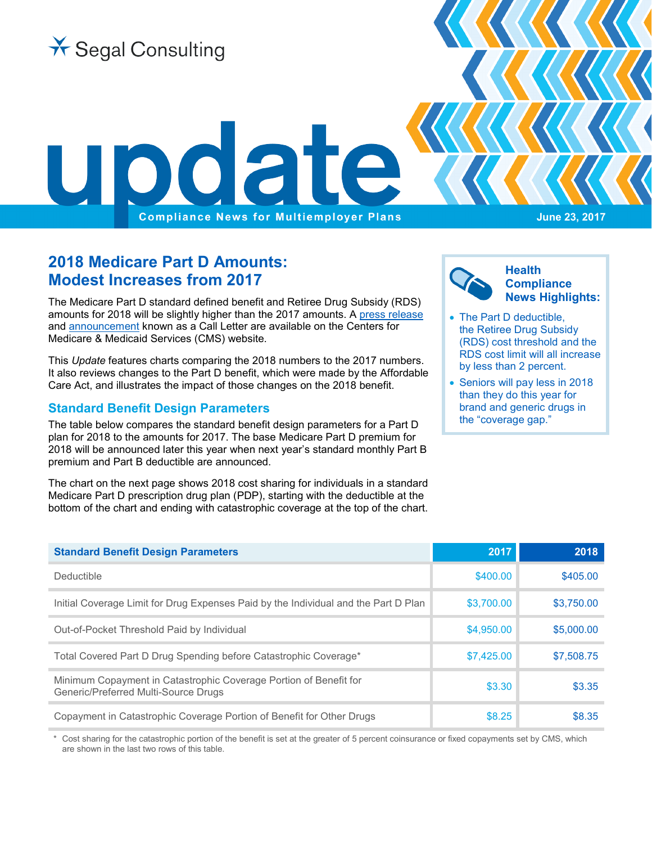

# **2018 Medicare Part D Amounts: Modest Increases from 2017**

The Medicare Part D standard defined benefit and Retiree Drug Subsidy (RDS) amounts for 2018 will be slightly higher than the 2017 amounts. A [press release](https://www.cms.gov/Newsroom/MediaReleaseDatabase/Press-releases/2017-Press-releases-items/2017-04-03.html) and [announcement](https://www.cms.gov/Medicare/Health-Plans/MedicareAdvtgSpecRateStats/Downloads/Announcement2018.pdf) known as a Call Letter are available on the Centers for Medicare & Medicaid Services (CMS) website.

This *Update* features charts comparing the 2018 numbers to the 2017 numbers. It also reviews changes to the Part D benefit, which were made by the Affordable Care Act, and illustrates the impact of those changes on the 2018 benefit.

#### **Standard Benefit Design Parameters**

The table below compares the standard benefit design parameters for a Part D plan for 2018 to the amounts for 2017. The base Medicare Part D premium for 2018 will be announced later this year when next year's standard monthly Part B premium and Part B deductible are announced.

The chart on the next page shows 2018 cost sharing for individuals in a standard Medicare Part D prescription drug plan (PDP), starting with the deductible at the bottom of the chart and ending with catastrophic coverage at the top of the chart.



- The Part D deductible, the Retiree Drug Subsidy (RDS) cost threshold and the RDS cost limit will all increase by less than 2 percent.
- Seniors will pay less in 2018 than they do this year for brand and generic drugs in the "coverage gap."

| <b>Standard Benefit Design Parameters</b>                                                                 | 2017       | 2018       |
|-----------------------------------------------------------------------------------------------------------|------------|------------|
| Deductible                                                                                                | \$400.00   | \$405.00   |
| Initial Coverage Limit for Drug Expenses Paid by the Individual and the Part D Plan                       | \$3,700,00 | \$3,750,00 |
| Out-of-Pocket Threshold Paid by Individual                                                                | \$4,950.00 | \$5,000,00 |
| Total Covered Part D Drug Spending before Catastrophic Coverage*                                          | \$7,425,00 | \$7,508.75 |
| Minimum Copayment in Catastrophic Coverage Portion of Benefit for<br>Generic/Preferred Multi-Source Drugs | \$3.30     | \$3.35     |
| Copayment in Catastrophic Coverage Portion of Benefit for Other Drugs                                     | \$8.25     | \$8.35     |

Cost sharing for the catastrophic portion of the benefit is set at the greater of 5 percent coinsurance or fixed copayments set by CMS, which are shown in the last two rows of this table.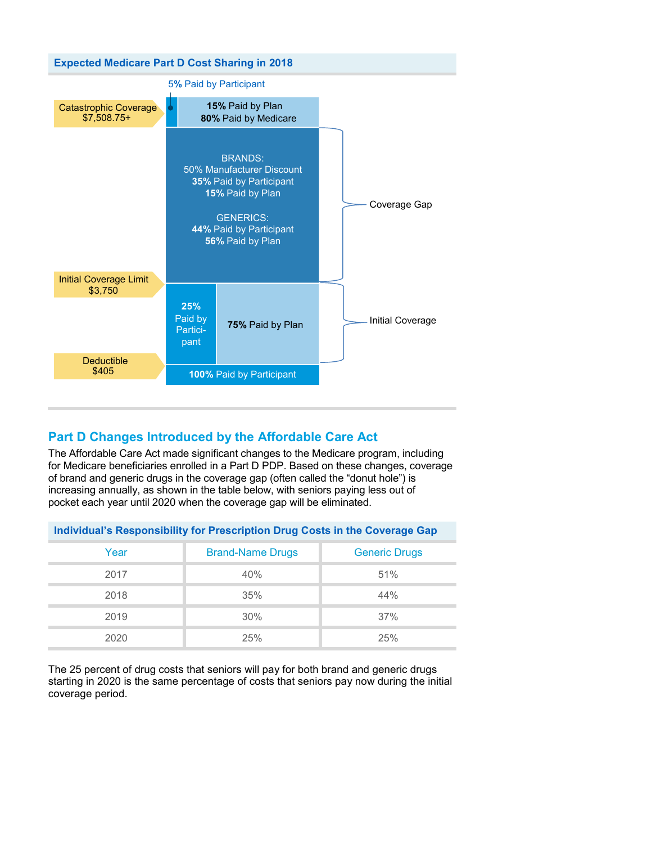

## **Part D Changes Introduced by the Affordable Care Act**

The Affordable Care Act made significant changes to the Medicare program, including for Medicare beneficiaries enrolled in a Part D PDP. Based on these changes, coverage of brand and generic drugs in the coverage gap (often called the "donut hole") is increasing annually, as shown in the table below, with seniors paying less out of pocket each year until 2020 when the coverage gap will be eliminated.

| Individual's Responsibility for Prescription Drug Costs in the Coverage Gap |                         |                      |  |  |
|-----------------------------------------------------------------------------|-------------------------|----------------------|--|--|
| Year                                                                        | <b>Brand-Name Drugs</b> | <b>Generic Drugs</b> |  |  |
| 2017                                                                        | 40%                     | 51%                  |  |  |
| 2018                                                                        | 35%                     | 44%                  |  |  |
| 2019                                                                        | 30%                     | 37%                  |  |  |
| 2020                                                                        | 25%                     | 25%                  |  |  |

The 25 percent of drug costs that seniors will pay for both brand and generic drugs starting in 2020 is the same percentage of costs that seniors pay now during the initial coverage period.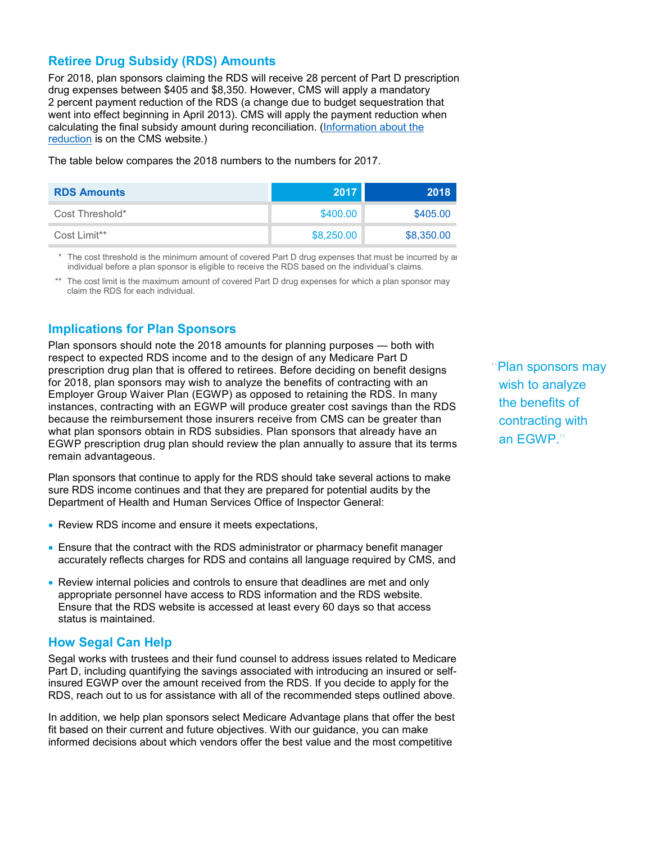#### **Retiree Drug Subsidy (RDS) Amounts**

For 2018, plan sponsors claiming the RDS will receive 28 percent of Part D prescription drug expenses between \$405 and \$8,350. However, CMS will apply a mandatory 2 percent payment reduction of the RDS (a change due to budget sequestration that went into effect beginning in April 2013). CMS will apply the payment reduction when calculating the final subsidy amount during reconciliation. [\(Information about the](https://www.rds.cms.hhs.gov/sites/default/files/webfiles/documents/mandatorypaymentreduction.pdf)  [reduction](https://www.rds.cms.hhs.gov/sites/default/files/webfiles/documents/mandatorypaymentreduction.pdf) is on the CMS website.)

The table below compares the 2018 numbers to the numbers for 2017.

| <b>RDS Amounts</b> | 2017       | 2018       |
|--------------------|------------|------------|
| Cost Threshold*    | \$400.00   | \$405.00   |
| Cost Limit**       | \$8,250.00 | \$8,350.00 |

The cost threshold is the minimum amount of covered Part D drug expenses that must be incurred by an individual before a plan sponsor is eligible to receive the RDS based on the individual's claims.

\*\* The cost limit is the maximum amount of covered Part D drug expenses for which a plan sponsor may claim the RDS for each individual.

### **Implications for Plan Sponsors**

Plan sponsors should note the 2018 amounts for planning purposes — both with respect to expected RDS income and to the design of any Medicare Part D prescription drug plan that is offered to retirees. Before deciding on benefit designs for 2018, plan sponsors may wish to analyze the benefits of contracting with an Employer Group Waiver Plan (EGWP) as opposed to retaining the RDS. In many instances, contracting with an EGWP will produce greater cost savings than the RDS because the reimbursement those insurers receive from CMS can be greater than what plan sponsors obtain in RDS subsidies. Plan sponsors that already have an EGWP prescription drug plan should review the plan annually to assure that its terms remain advantageous.

Plan sponsors that continue to apply for the RDS should take several actions to make sure RDS income continues and that they are prepared for potential audits by the Department of Health and Human Services Office of Inspector General:

- Review RDS income and ensure it meets expectations,
- Ensure that the contract with the RDS administrator or pharmacy benefit manager accurately reflects charges for RDS and contains all language required by CMS, and
- Review internal policies and controls to ensure that deadlines are met and only appropriate personnel have access to RDS information and the RDS website. Ensure that the RDS website is accessed at least every 60 days so that access status is maintained.

#### **How Segal Can Help**

Segal works with trustees and their fund counsel to address issues related to Medicare Part D, including quantifying the savings associated with introducing an insured or selfinsured EGWP over the amount received from the RDS. If you decide to apply for the RDS, reach out to us for assistance with all of the recommended steps outlined above.

In addition, we help plan sponsors select Medicare Advantage plans that offer the best fit based on their current and future objectives. With our guidance, you can make informed decisions about which vendors offer the best value and the most competitive

**"**Plan sponsors may wish to analyze the benefits of contracting with an EGWP.**"**